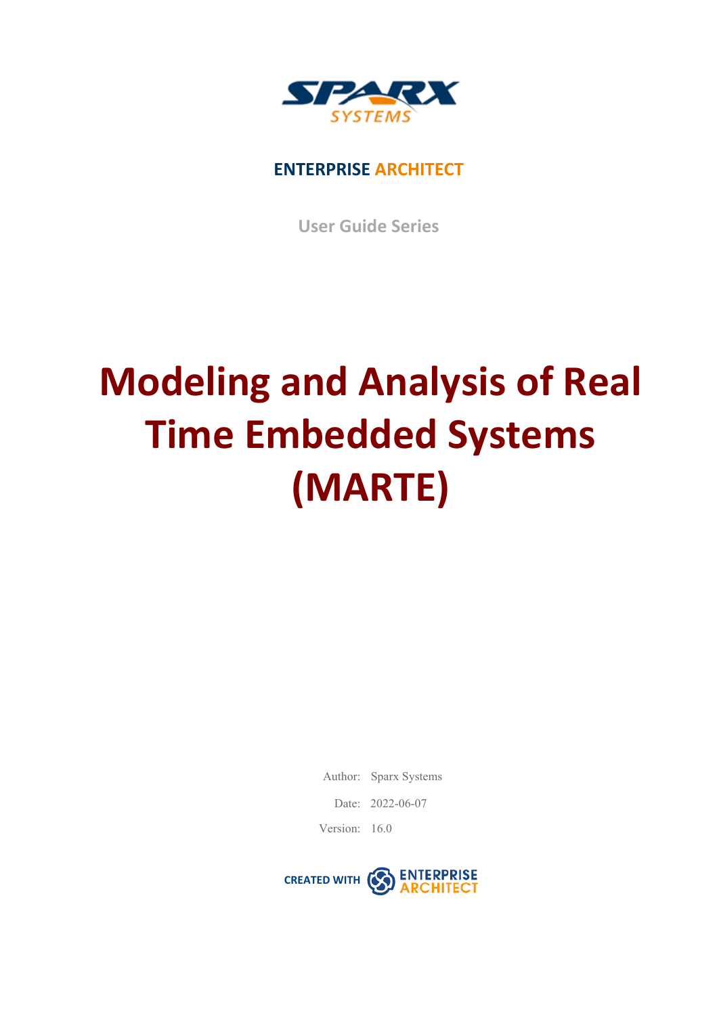

## **ENTERPRISE ARCHITECT**

**User Guide Series**

## **Modeling and Analysis of Real Time Embedded Systems (MARTE)**

Author: Sparx Systems

Date: 2022-06-07

Version: 16.0

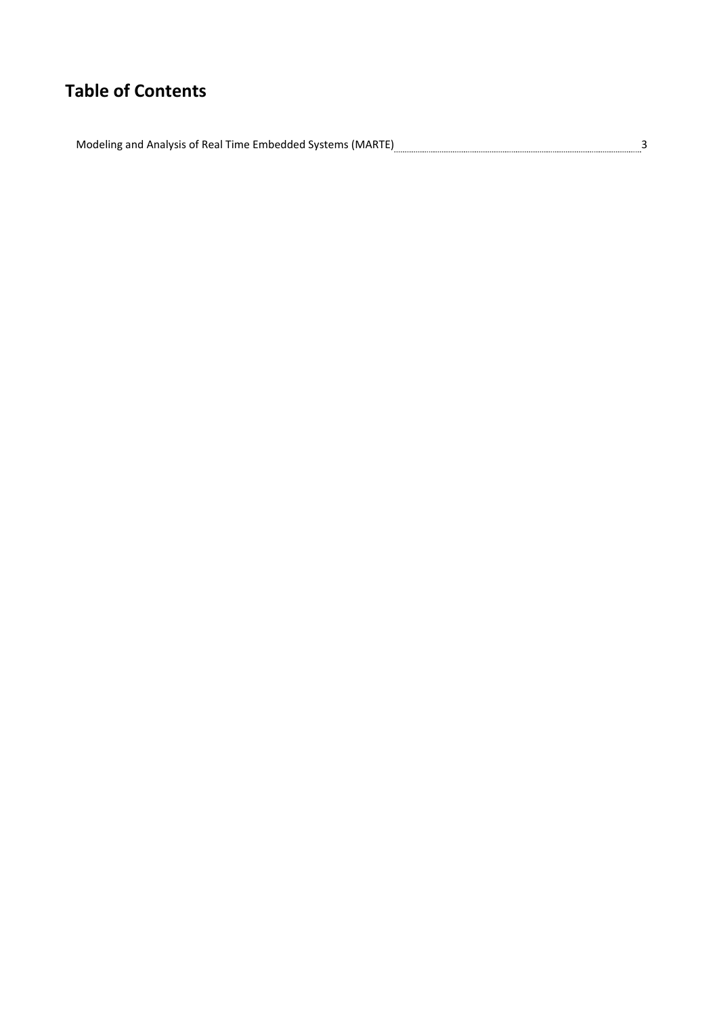## **Table of Contents**

Modeling and Analysis of Real Time Embedded Systems (MARTE)<br>3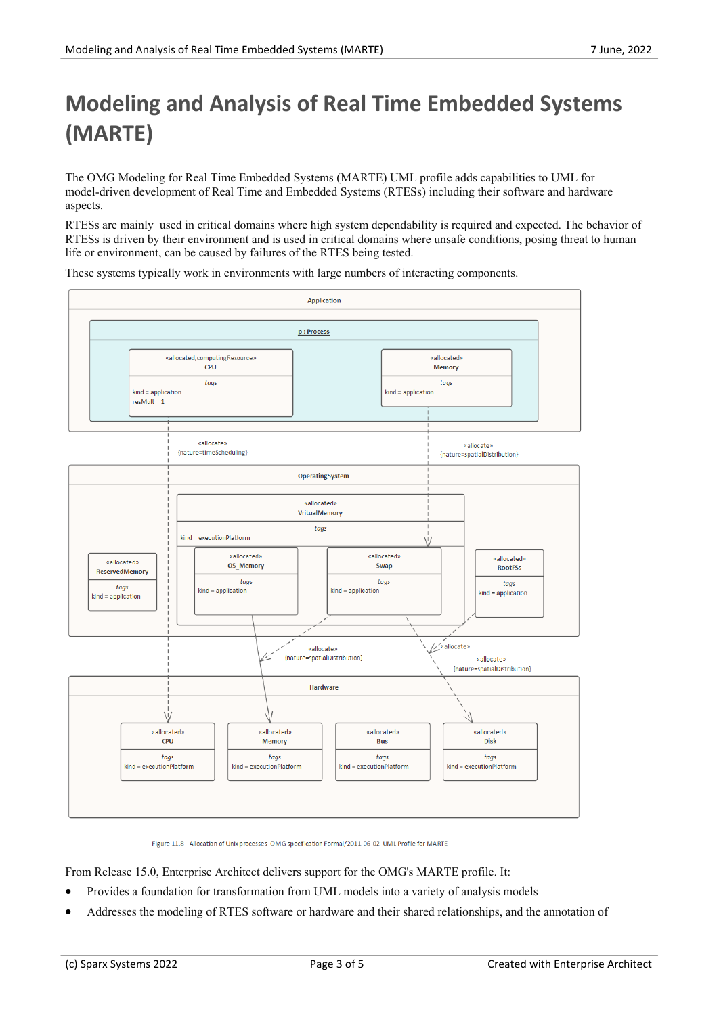## **Modeling and Analysis of Real Time Embedded Systems (MARTE)**

The OMG Modeling for Real Time Embedded Systems (MARTE) UML profile adds capabilities to UML for model-driven development of Real Time and Embedded Systems (RTESs) including their software and hardware aspects.

RTESs are mainly used in critical domains where high system dependability is required and expected. The behavior of RTESs is driven by their environment and is used in critical domains where unsafe conditions, posing threat to human life or environment, can be caused by failures of the RTES being tested.

These systems typically work in environments with large numbers of interacting components.



Figure 11.8 - Allocation of Unix processes OMG specification Formal/2011-06-02 UML Profile for MARTE

From Release 15.0, Enterprise Architect delivers support for the OMG's MARTE profile. It:

- Provides a foundation for transformation from UML models into a variety of analysis models
- Addresses the modeling of RTES software or hardware and their shared relationships, and the annotation of